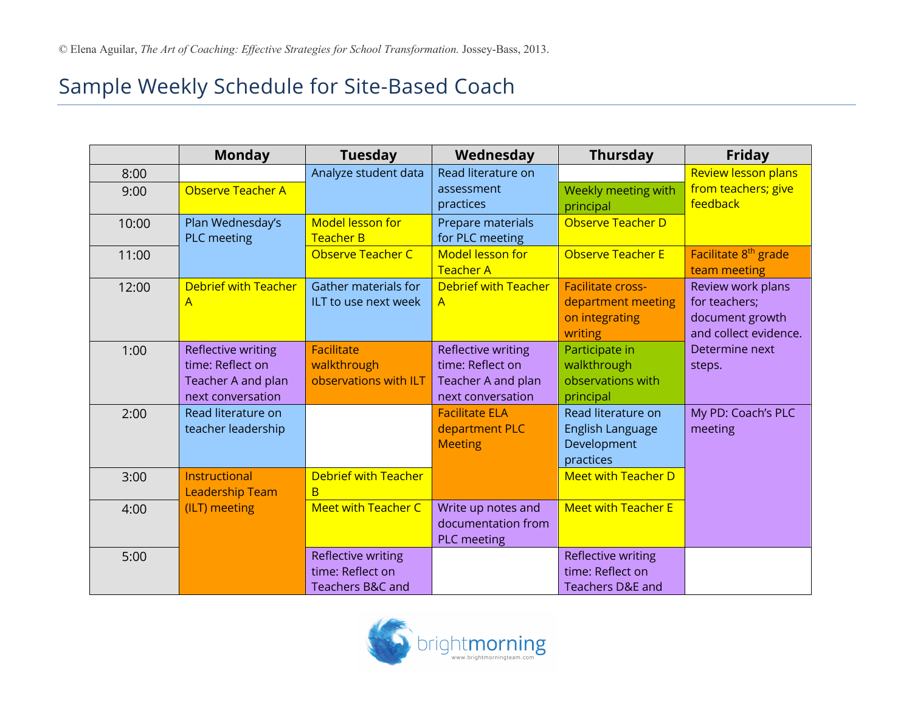## Sample Weekly Schedule for Site-Based Coach

|       | <b>Monday</b>               | <b>Tuesday</b>              | Wednesday                   | <b>Thursday</b>             | <b>Friday</b>                    |  |
|-------|-----------------------------|-----------------------------|-----------------------------|-----------------------------|----------------------------------|--|
| 8:00  |                             | Analyze student data        | Read literature on          |                             | <b>Review lesson plans</b>       |  |
| 9:00  | Observe Teacher A           |                             | assessment                  | Weekly meeting with         | from teachers; give              |  |
|       |                             |                             | practices                   | principal                   | feedback                         |  |
| 10:00 | Plan Wednesday's            | <b>Model lesson for</b>     | Prepare materials           | Observe Teacher D           |                                  |  |
|       | PLC meeting                 | <b>Teacher B</b>            | for PLC meeting             |                             |                                  |  |
| 11:00 |                             | Observe Teacher C           | <b>Model lesson for</b>     | Observe Teacher E           | Facilitate 8 <sup>th</sup> grade |  |
|       |                             |                             | <b>Teacher A</b>            |                             | team meeting                     |  |
| 12:00 | <b>Debrief with Teacher</b> | Gather materials for        | <b>Debrief with Teacher</b> | <b>Facilitate cross-</b>    | Review work plans                |  |
|       | A                           | ILT to use next week        | $\overline{A}$              | department meeting          | for teachers;                    |  |
|       |                             |                             |                             | on integrating              | document growth                  |  |
|       |                             |                             |                             | writing                     | and collect evidence.            |  |
| 1:00  | <b>Reflective writing</b>   | <b>Facilitate</b>           | Reflective writing          | Participate in              | Determine next                   |  |
|       | time: Reflect on            | walkthrough                 | time: Reflect on            | walkthrough                 | steps.                           |  |
|       | Teacher A and plan          | observations with ILT       | Teacher A and plan          | observations with           |                                  |  |
|       | next conversation           |                             | next conversation           | principal                   |                                  |  |
| 2:00  | Read literature on          |                             | <b>Facilitate ELA</b>       | Read literature on          | My PD: Coach's PLC               |  |
|       | teacher leadership          |                             | department PLC              | English Language            | meeting                          |  |
|       |                             |                             | <b>Meeting</b>              | Development                 |                                  |  |
|       |                             |                             |                             | practices                   |                                  |  |
| 3:00  | Instructional               | <b>Debrief with Teacher</b> |                             | <b>Meet with Teacher D</b>  |                                  |  |
|       | <b>Leadership Team</b>      | B                           |                             |                             |                                  |  |
| 4:00  | (ILT) meeting               | <b>Meet with Teacher C</b>  | Write up notes and          | <b>Meet with Teacher E</b>  |                                  |  |
|       |                             |                             | documentation from          |                             |                                  |  |
|       |                             |                             | <b>PLC</b> meeting          |                             |                                  |  |
| 5:00  |                             | Reflective writing          |                             | Reflective writing          |                                  |  |
|       |                             | time: Reflect on            |                             | time: Reflect on            |                                  |  |
|       |                             | <b>Teachers B&amp;C and</b> |                             | <b>Teachers D&amp;E and</b> |                                  |  |